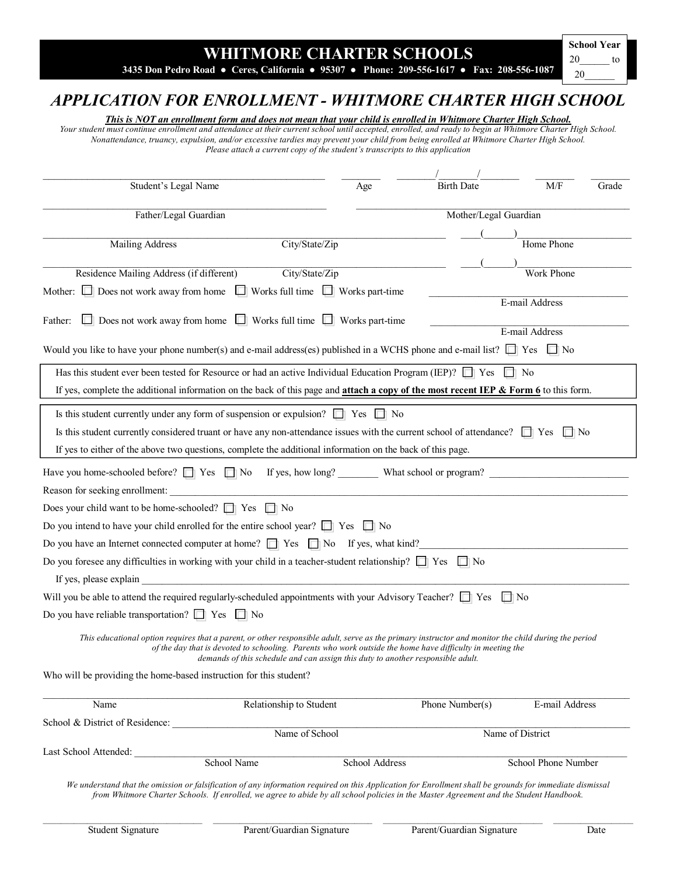## **WHITMORE CHARTER SCHOOLS**

**3435 Don Pedro Road ● Ceres, California ● 95307 ● Phone: 209-556-1617 ● Fax: 208-556-1087** 

20\_\_\_\_\_\_ to 20\_\_\_\_\_\_

## *APPLICATION FOR ENROLLMENT - WHITMORE CHARTER HIGH SCHOOL*

*This is NOT an enrollment form and does not mean that your child is enrolled in Whitmore Charter High School.*

*Your student must continue enrollment and attendance at their current school until accepted, enrolled, and ready to begin at Whitmore Charter High School. Nonattendance, truancy, expulsion, and/or excessive tardies may prevent your child from being enrolled at Whitmore Charter High School. Please attach a current copy of the student's transcripts to this application* 

| Student's Legal Name                                                                                                                            |             | Age                                                                               | <b>Birth Date</b>                                                                                                                                                                                                                                                | M/F                 | Grade |
|-------------------------------------------------------------------------------------------------------------------------------------------------|-------------|-----------------------------------------------------------------------------------|------------------------------------------------------------------------------------------------------------------------------------------------------------------------------------------------------------------------------------------------------------------|---------------------|-------|
| Father/Legal Guardian                                                                                                                           |             | Mother/Legal Guardian                                                             |                                                                                                                                                                                                                                                                  |                     |       |
|                                                                                                                                                 |             |                                                                                   |                                                                                                                                                                                                                                                                  |                     |       |
| <b>Mailing Address</b>                                                                                                                          |             | City/State/Zip                                                                    |                                                                                                                                                                                                                                                                  | Home Phone          |       |
|                                                                                                                                                 |             |                                                                                   |                                                                                                                                                                                                                                                                  |                     |       |
| Residence Mailing Address (if different)                                                                                                        |             | City/State/Zip                                                                    |                                                                                                                                                                                                                                                                  | <b>Work Phone</b>   |       |
| Mother: $\Box$ Does not work away from home $\Box$ Works full time $\Box$ Works part-time                                                       |             |                                                                                   |                                                                                                                                                                                                                                                                  | E-mail Address      |       |
|                                                                                                                                                 |             |                                                                                   |                                                                                                                                                                                                                                                                  |                     |       |
| Father:                                                                                                                                         |             | $\Box$ Does not work away from home $\Box$ Works full time $\Box$ Works part-time |                                                                                                                                                                                                                                                                  | E-mail Address      |       |
| Would you like to have your phone number(s) and e-mail address(es) published in a WCHS phone and e-mail list? $\Box$ Yes $\Box$ No              |             |                                                                                   |                                                                                                                                                                                                                                                                  |                     |       |
|                                                                                                                                                 |             |                                                                                   |                                                                                                                                                                                                                                                                  |                     |       |
| Has this student ever been tested for Resource or had an active Individual Education Program (IEP)? $\Box$ Yes $\Box$ No                        |             |                                                                                   |                                                                                                                                                                                                                                                                  |                     |       |
| If yes, complete the additional information on the back of this page and <b>attach a copy of the most recent IEP &amp; Form 6</b> to this form. |             |                                                                                   |                                                                                                                                                                                                                                                                  |                     |       |
| Is this student currently under any form of suspension or expulsion? $\Box$ Yes $\Box$ No                                                       |             |                                                                                   |                                                                                                                                                                                                                                                                  |                     |       |
| Is this student currently considered truant or have any non-attendance issues with the current school of attendance? $\Box$ Yes $\Box$ No       |             |                                                                                   |                                                                                                                                                                                                                                                                  |                     |       |
|                                                                                                                                                 |             |                                                                                   |                                                                                                                                                                                                                                                                  |                     |       |
| If yes to either of the above two questions, complete the additional information on the back of this page.                                      |             |                                                                                   |                                                                                                                                                                                                                                                                  |                     |       |
| Have you home-schooled before? $\Box$ Yes $\Box$ No If yes, how long? What school or program?                                                   |             |                                                                                   |                                                                                                                                                                                                                                                                  |                     |       |
| Reason for seeking enrollment:                                                                                                                  |             |                                                                                   |                                                                                                                                                                                                                                                                  |                     |       |
| Does your child want to be home-schooled? $\Box$ Yes $\Box$ No                                                                                  |             |                                                                                   |                                                                                                                                                                                                                                                                  |                     |       |
| Do you intend to have your child enrolled for the entire school year? $\Box$ Yes $\Box$ No                                                      |             |                                                                                   |                                                                                                                                                                                                                                                                  |                     |       |
| Do you have an Internet connected computer at home? $\Box$ Yes $\Box$ No If yes, what kind?                                                     |             |                                                                                   |                                                                                                                                                                                                                                                                  |                     |       |
| Do you foresee any difficulties in working with your child in a teacher-student relationship? $\Box$ Yes $\Box$ No                              |             |                                                                                   |                                                                                                                                                                                                                                                                  |                     |       |
| If yes, please explain                                                                                                                          |             |                                                                                   |                                                                                                                                                                                                                                                                  |                     |       |
| Will you be able to attend the required regularly-scheduled appointments with your Advisory Teacher? $\Box$ Yes $\Box$ No                       |             |                                                                                   |                                                                                                                                                                                                                                                                  |                     |       |
| Do you have reliable transportation? $\Box$ Yes $\Box$ No                                                                                       |             |                                                                                   |                                                                                                                                                                                                                                                                  |                     |       |
|                                                                                                                                                 |             |                                                                                   |                                                                                                                                                                                                                                                                  |                     |       |
|                                                                                                                                                 |             | demands of this schedule and can assign this duty to another responsible adult.   | This educational option requires that a parent, or other responsible adult, serve as the primary instructor and monitor the child during the period<br>of the day that is devoted to schooling. Parents who work outside the home have difficulty in meeting the |                     |       |
| Who will be providing the home-based instruction for this student?                                                                              |             |                                                                                   |                                                                                                                                                                                                                                                                  |                     |       |
|                                                                                                                                                 |             |                                                                                   |                                                                                                                                                                                                                                                                  |                     |       |
| Name                                                                                                                                            |             | Relationship to Student                                                           | Phone Number(s)                                                                                                                                                                                                                                                  | E-mail Address      |       |
| School & District of Residence:                                                                                                                 |             | Name of School                                                                    |                                                                                                                                                                                                                                                                  |                     |       |
|                                                                                                                                                 |             |                                                                                   |                                                                                                                                                                                                                                                                  | Name of District    |       |
| Last School Attended:                                                                                                                           | School Name | School Address                                                                    |                                                                                                                                                                                                                                                                  | School Phone Number |       |
|                                                                                                                                                 |             |                                                                                   |                                                                                                                                                                                                                                                                  |                     |       |

*We understand that the omission or falsification of any information required on this Application for Enrollment shall be grounds for immediate dismissal from Whitmore Charter Schools. If enrolled, we agree to abide by all school policies in the Master Agreement and the Student Handbook.*